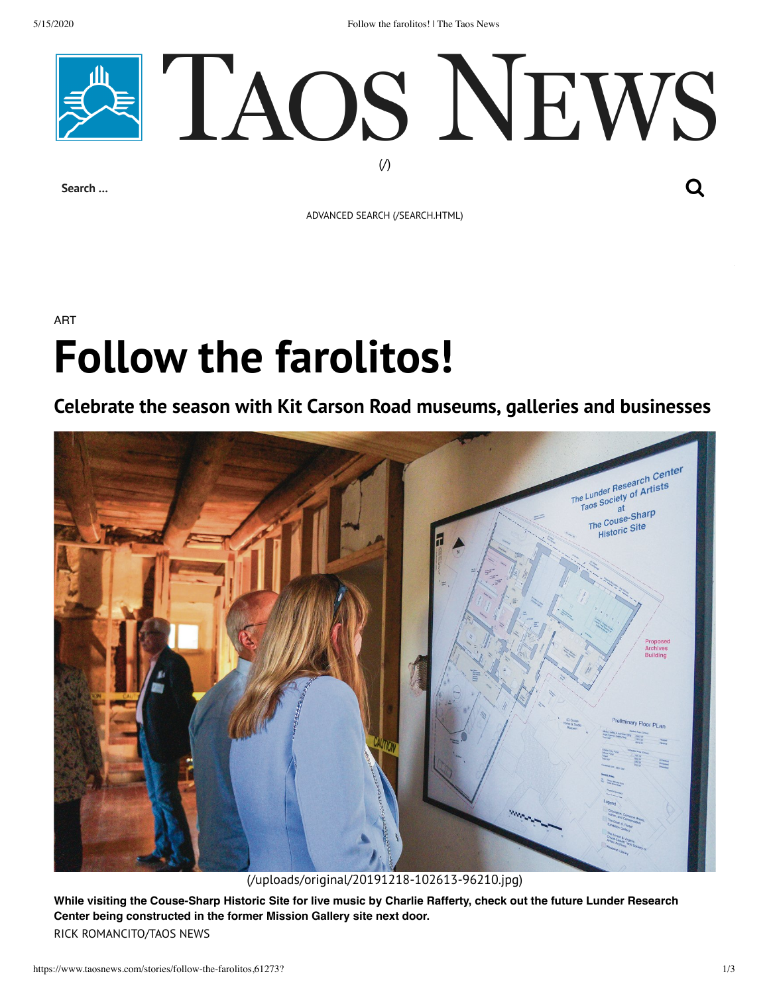5/15/2020 Follow the farolitos! | The Taos News



ADVANCED SEARCH [\(/SEARCH.HTML\)](https://www.taosnews.com/search.html)

## ART **Follow the farolitos!**

## **Celebrate the season with Kit Carson Road museums, galleries and businesses**



[\(/uploads/original/20191218-102613-96210.jpg\)](https://www.taosnews.com/uploads/original/20191218-102613-96210.jpg)

**While visiting the Couse-Sharp Historic Site for live music by Charlie Rafferty, check out the future Lunder Research Center being constructed in the former Mission Gallery site next door.** RICK ROMANCITO/TAOS NEWS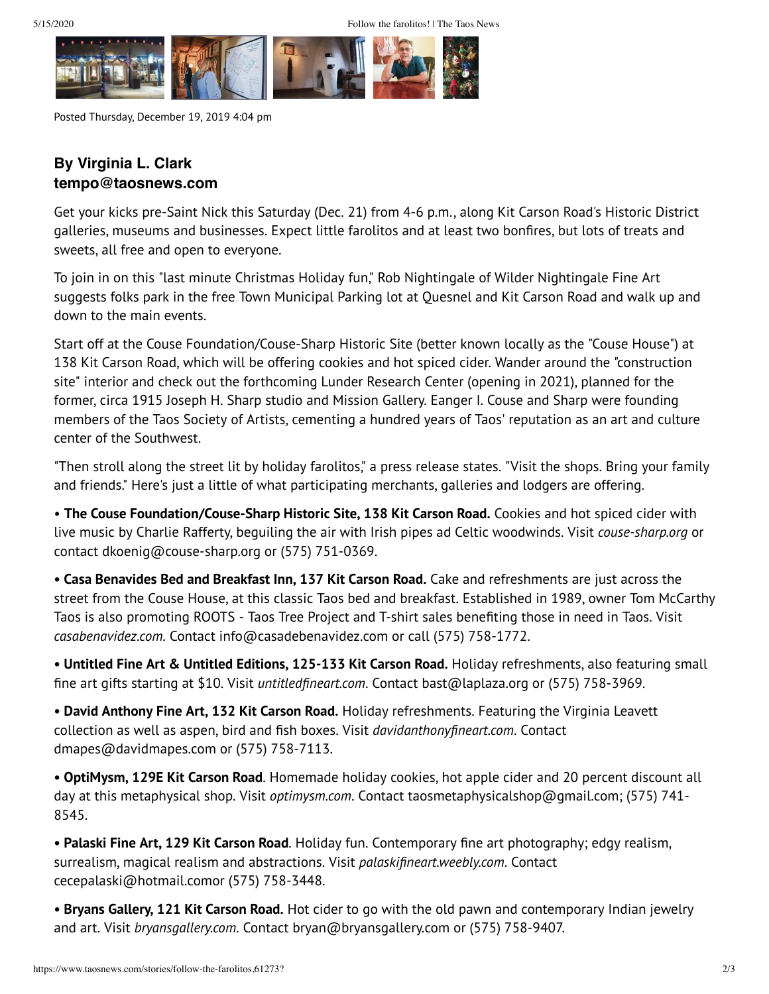

Posted Thursday, December 19, 2019 4:04 pm

## **By Virginia L. Clark tempo@taosnews.com**

Get your kicks pre-Saint Nick this Saturday (Dec. 21) from 4-6 p.m., along Kit Carson Road's Historic District galleries, museums and businesses. Expect little farolitos and at least two bonfires, but lots of treats and sweets, all free and open to everyone.

To join in on this "last minute Christmas Holiday fun," Rob Nightingale of Wilder Nightingale Fine Art suggests folks park in the free Town Municipal Parking lot at Quesnel and Kit Carson Road and walk up and down to the main events.

Start off at the Couse Foundation/Couse-Sharp Historic Site (better known locally as the "Couse House") at 138 Kit Carson Road, which will be offering cookies and hot spiced cider. Wander around the "construction site" interior and check out the forthcoming Lunder Research Center (opening in 2021), planned for the former, circa 1915 Joseph H. Sharp studio and Mission Gallery. Eanger I. Couse and Sharp were founding members of the Taos Society of Artists, cementing a hundred years of Taos' reputation as an art and culture center of the Southwest.

"Then stroll along the street lit by holiday farolitos," a press release states. "Visit the shops. Bring your family and friends." Here's just a little of what participating merchants, galleries and lodgers are offering.

• **The Couse Foundation/Couse-Sharp Historic Site, 138 Kit Carson Road.** Cookies and hot spiced cider with live music by Charlie Rafferty, beguiling the air with Irish pipes ad Celtic woodwinds. Visit *couse-sharp.org* or contact dkoenig@couse-sharp.org or (575) 751-0369.

**• Casa Benavides Bed and Breakfast Inn, 137 Kit Carson Road.** Cake and refreshments are just across the street from the Couse House, at this classic Taos bed and breakfast. Established in 1989, owner Tom McCarthy Taos is also promoting ROOTS - Taos Tree Project and T-shirt sales benefiting those in need in Taos. Visit *casabenavidez.com.* Contact info@casadebenavidez.com or call (575) 758-1772.

**• Untitled Fine Art & Untitled Editions, 125-133 Kit Carson Road.** Holiday refreshments, also featuring small fine art gifts starting at \$10. Visit *untitledfineart.com*. Contact bast@laplaza.org or (575) 758-3969.

**• David Anthony Fine Art, 132 Kit Carson Road.** Holiday refreshments. Featuring the Virginia Leavett collection as well as aspen, bird and fish boxes. Visit *davidanthonyfineart.com*. Contact dmapes@davidmapes.com or (575) 758-7113.

**• OptiMysm, 129E Kit Carson Road**. Homemade holiday cookies, hot apple cider and 20 percent discount all day at this metaphysical shop. Visit *optimysm.com*. Contact taosmetaphysicalshop@gmail.com; (575) 741- 8545.

**• Palaski Fine Art, 129 Kit Carson Road**. Holiday fun. Contemporary fine art photography; edgy realism, surrealism, magical realism and abstractions. Visit *palaskifineart.weebly.com*. Contact cecepalaski@hotmail.comor (575) 758-3448.

**• Bryans Gallery, 121 Kit Carson Road.** Hot cider to go with the old pawn and contemporary Indian jewelry and art. Visit *bryansgallery.com.* Contact bryan@bryansgallery.com or (575) 758-9407.